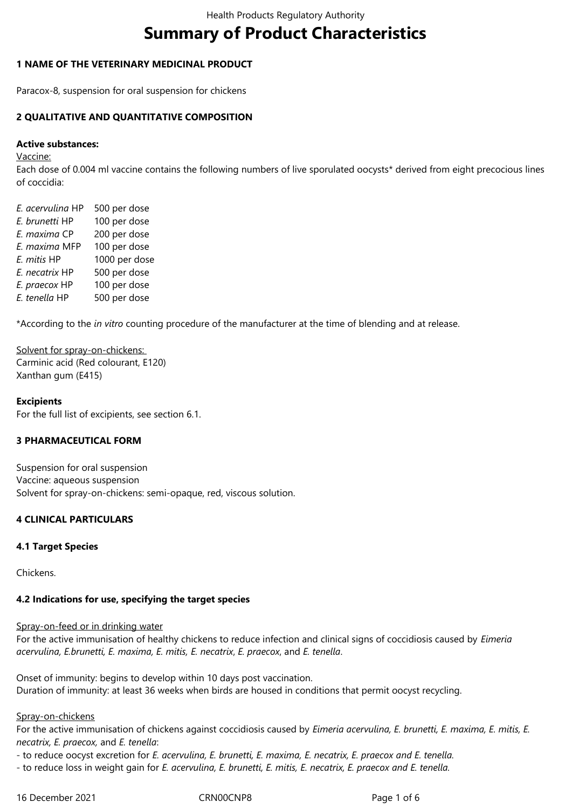# **Summary of Product Characteristics**

## **1 NAME OF THE VETERINARY MEDICINAL PRODUCT**

Paracox-8, suspension for oral suspension for chickens

# **2 QUALITATIVE AND QUANTITATIVE COMPOSITION**

#### **Active substances:**

#### Vaccine:

Each dose of 0.004 ml vaccine contains the following numbers of live sporulated oocysts\* derived from eight precocious lines of coccidia:

*E. acervulina* HP 500 per dose *E. brunetti* HP 100 per dose *E. maxima* CP 200 per dose *E. maxima* MFP 100 per dose *E. mitis* HP 1000 per dose *E. necatrix* HP 500 per dose *E. praecox* HP 100 per dose *E. tenella* HP 500 per dose

\*According to the *in vitro* counting procedure of the manufacturer at the time of blending and at release.

Solvent for spray-on-chickens: Carminic acid (Red colourant, E120) Xanthan gum (E415)

## **Excipients**

For the full list of excipients, see section 6.1.

#### **3 PHARMACEUTICAL FORM**

Suspension for oral suspension Vaccine: aqueous suspension Solvent for spray-on-chickens: semi-opaque, red, viscous solution.

#### **4 CLINICAL PARTICULARS**

#### **4.1 Target Species**

Chickens.

#### **4.2 Indications for use, specifying the target species**

#### Spray-on-feed or in drinking water

For the active immunisation of healthy chickens to reduce infection and clinical signs of coccidiosis caused by *Eimeria acervulina, E.brunetti, E. maxima, E. mitis, E. necatrix*, *E. praecox*, and *E. tenella*.

Onset of immunity: begins to develop within 10 days post vaccination. Duration of immunity: at least 36 weeks when birds are housed in conditions that permit oocyst recycling.

#### Spray-on-chickens

For the active immunisation of chickens against coccidiosis caused by *Eimeria acervulina, E. brunetti, E. maxima, E. mitis, E. necatrix, E. praecox,* and *E. tenella*:

- to reduce oocyst excretion for *E. acervulina, E. brunetti, E. maxima, E. necatrix, E. praecox and E. tenella.* 

- to reduce loss in weight gain for *E. acervulina, E. brunetti, E. mitis, E. necatrix, E. praecox and E. tenella.*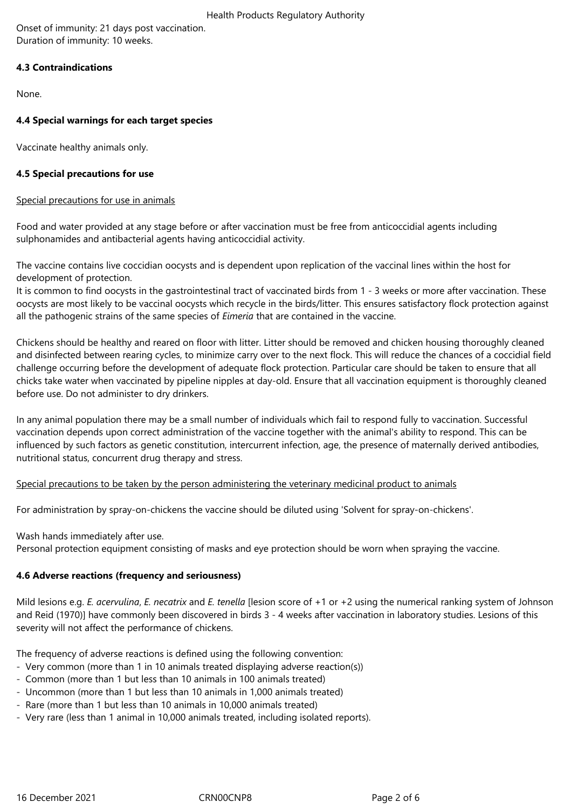Onset of immunity: 21 days post vaccination. Duration of immunity: 10 weeks.

# **4.3 Contraindications**

None.

# **4.4 Special warnings for each target species**

Vaccinate healthy animals only.

# **4.5 Special precautions for use**

## Special precautions for use in animals

Food and water provided at any stage before or after vaccination must be free from anticoccidial agents including sulphonamides and antibacterial agents having anticoccidial activity*.*

The vaccine contains live coccidian oocysts and is dependent upon replication of the vaccinal lines within the host for development of protection.

It is common to find oocysts in the gastrointestinal tract of vaccinated birds from 1 - 3 weeks or more after vaccination. These oocysts are most likely to be vaccinal oocysts which recycle in the birds/litter. This ensures satisfactory flock protection against all the pathogenic strains of the same species of *Eimeria* that are contained in the vaccine.

Chickens should be healthy and reared on floor with litter. Litter should be removed and chicken housing thoroughly cleaned and disinfected between rearing cycles, to minimize carry over to the next flock. This will reduce the chances of a coccidial field challenge occurring before the development of adequate flock protection. Particular care should be taken to ensure that all chicks take water when vaccinated by pipeline nipples at day-old. Ensure that all vaccination equipment is thoroughly cleaned before use. Do not administer to dry drinkers.

In any animal population there may be a small number of individuals which fail to respond fully to vaccination. Successful vaccination depends upon correct administration of the vaccine together with the animal's ability to respond. This can be influenced by such factors as genetic constitution, intercurrent infection, age, the presence of maternally derived antibodies, nutritional status, concurrent drug therapy and stress.

Special precautions to be taken by the person administering the veterinary medicinal product to animals

For administration by spray-on-chickens the vaccine should be diluted using 'Solvent for spray-on-chickens'.

Wash hands immediately after use.

Personal protection equipment consisting of masks and eye protection should be worn when spraying the vaccine.

# **4.6 Adverse reactions (frequency and seriousness)**

Mild lesions e.g. *E. acervulina*, *E. necatrix* and *E. tenella* [lesion score of +1 or +2 using the numerical ranking system of Johnson and Reid (1970)] have commonly been discovered in birds 3 - 4 weeks after vaccination in laboratory studies. Lesions of this severity will not affect the performance of chickens.

The frequency of adverse reactions is defined using the following convention:

- Very common (more than 1 in 10 animals treated displaying adverse reaction(s))
- Common (more than 1 but less than 10 animals in 100 animals treated)
- Uncommon (more than 1 but less than 10 animals in 1,000 animals treated)
- Rare (more than 1 but less than 10 animals in 10,000 animals treated)
- Very rare (less than 1 animal in 10,000 animals treated, including isolated reports).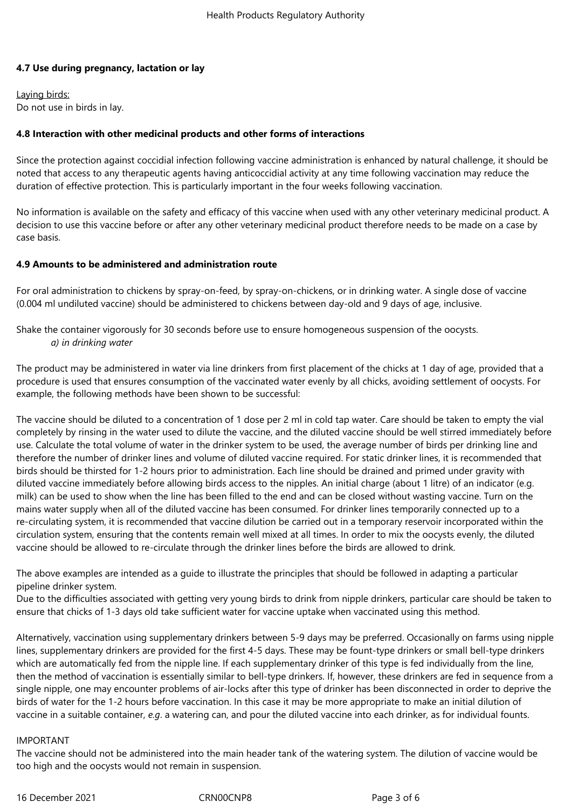# **4.7 Use during pregnancy, lactation or lay**

Laying birds: Do not use in birds in lay.

# **4.8 Interaction with other medicinal products and other forms of interactions**

Since the protection against coccidial infection following vaccine administration is enhanced by natural challenge, it should be noted that access to any therapeutic agents having anticoccidial activity at any time following vaccination may reduce the duration of effective protection. This is particularly important in the four weeks following vaccination.

No information is available on the safety and efficacy of this vaccine when used with any other veterinary medicinal product. A decision to use this vaccine before or after any other veterinary medicinal product therefore needs to be made on a case by case basis.

#### **4.9 Amounts to be administered and administration route**

For oral administration to chickens by spray-on-feed, by spray-on-chickens, or in drinking water. A single dose of vaccine (0.004 ml undiluted vaccine) should be administered to chickens between day-old and 9 days of age, inclusive.

Shake the container vigorously for 30 seconds before use to ensure homogeneous suspension of the oocysts. *a) in drinking water*

The product may be administered in water via line drinkers from first placement of the chicks at 1 day of age, provided that a procedure is used that ensures consumption of the vaccinated water evenly by all chicks, avoiding settlement of oocysts. For example, the following methods have been shown to be successful:

The vaccine should be diluted to a concentration of 1 dose per 2 ml in cold tap water. Care should be taken to empty the vial completely by rinsing in the water used to dilute the vaccine, and the diluted vaccine should be well stirred immediately before use. Calculate the total volume of water in the drinker system to be used, the average number of birds per drinking line and therefore the number of drinker lines and volume of diluted vaccine required. For static drinker lines, it is recommended that birds should be thirsted for 1-2 hours prior to administration. Each line should be drained and primed under gravity with diluted vaccine immediately before allowing birds access to the nipples. An initial charge (about 1 litre) of an indicator (e.g. milk) can be used to show when the line has been filled to the end and can be closed without wasting vaccine. Turn on the mains water supply when all of the diluted vaccine has been consumed. For drinker lines temporarily connected up to a re-circulating system, it is recommended that vaccine dilution be carried out in a temporary reservoir incorporated within the circulation system, ensuring that the contents remain well mixed at all times. In order to mix the oocysts evenly, the diluted vaccine should be allowed to re-circulate through the drinker lines before the birds are allowed to drink.

The above examples are intended as a guide to illustrate the principles that should be followed in adapting a particular pipeline drinker system.

Due to the difficulties associated with getting very young birds to drink from nipple drinkers, particular care should be taken to ensure that chicks of 1-3 days old take sufficient water for vaccine uptake when vaccinated using this method.

Alternatively, vaccination using supplementary drinkers between 5-9 days may be preferred. Occasionally on farms using nipple lines, supplementary drinkers are provided for the first 4-5 days. These may be fount-type drinkers or small bell-type drinkers which are automatically fed from the nipple line. If each supplementary drinker of this type is fed individually from the line, then the method of vaccination is essentially similar to bell-type drinkers. If, however, these drinkers are fed in sequence from a single nipple, one may encounter problems of air-locks after this type of drinker has been disconnected in order to deprive the birds of water for the 1-2 hours before vaccination. In this case it may be more appropriate to make an initial dilution of vaccine in a suitable container, *e.g*. a watering can, and pour the diluted vaccine into each drinker, as for individual founts.

#### IMPORTANT

The vaccine should not be administered into the main header tank of the watering system. The dilution of vaccine would be too high and the oocysts would not remain in suspension.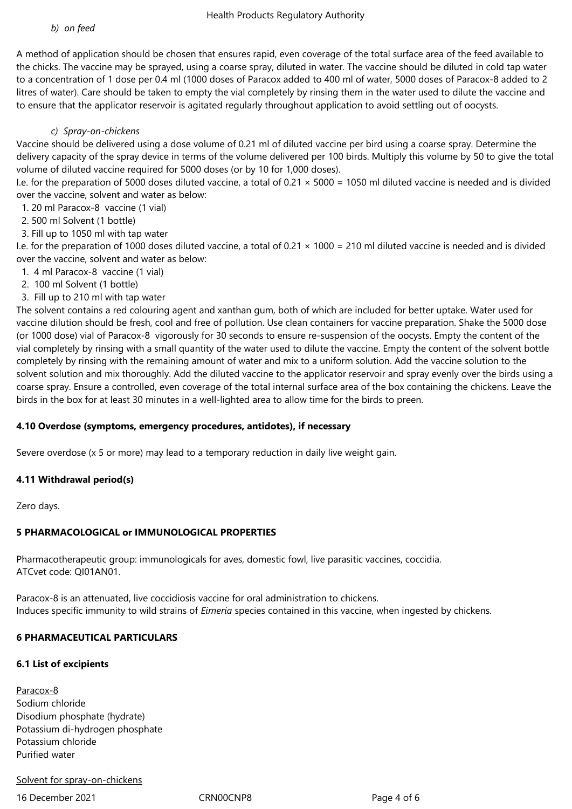A method of application should be chosen that ensures rapid, even coverage of the total surface area of the feed available to the chicks. The vaccine may be sprayed, using a coarse spray, diluted in water. The vaccine should be diluted in cold tap water to a concentration of 1 dose per 0.4 ml (1000 doses of Paracox added to 400 ml of water, 5000 doses of Paracox-8 added to 2 litres of water). Care should be taken to empty the vial completely by rinsing them in the water used to dilute the vaccine and to ensure that the applicator reservoir is agitated regularly throughout application to avoid settling out of oocysts.

### *c) Spray-on-chickens*

Vaccine should be delivered using a dose volume of 0.21 ml of diluted vaccine per bird using a coarse spray. Determine the delivery capacity of the spray device in terms of the volume delivered per 100 birds. Multiply this volume by 50 to give the total volume of diluted vaccine required for 5000 doses (or by 10 for 1,000 doses).

I.e. for the preparation of 5000 doses diluted vaccine, a total of  $0.21 \times 5000 = 1050$  ml diluted vaccine is needed and is divided over the vaccine, solvent and water as below:

1. 20 ml Paracox-8 vaccine (1 vial)

- 2. 500 ml Solvent (1 bottle)
- 3. Fill up to 1050 ml with tap water

I.e. for the preparation of 1000 doses diluted vaccine, a total of 0.21 × 1000 = 210 ml diluted vaccine is needed and is divided over the vaccine, solvent and water as below:

- 1. 4 ml Paracox-8 vaccine (1 vial)
- 2. 100 ml Solvent (1 bottle)
- 3. Fill up to 210 ml with tap water

The solvent contains a red colouring agent and xanthan gum, both of which are included for better uptake. Water used for vaccine dilution should be fresh, cool and free of pollution. Use clean containers for vaccine preparation. Shake the 5000 dose (or 1000 dose) vial of Paracox-8 vigorously for 30 seconds to ensure re-suspension of the oocysts. Empty the content of the vial completely by rinsing with a small quantity of the water used to dilute the vaccine. Empty the content of the solvent bottle completely by rinsing with the remaining amount of water and mix to a uniform solution. Add the vaccine solution to the solvent solution and mix thoroughly. Add the diluted vaccine to the applicator reservoir and spray evenly over the birds using a coarse spray. Ensure a controlled, even coverage of the total internal surface area of the box containing the chickens. Leave the birds in the box for at least 30 minutes in a well-lighted area to allow time for the birds to preen.

#### **4.10 Overdose (symptoms, emergency procedures, antidotes), if necessary**

Severe overdose (x 5 or more) may lead to a temporary reduction in daily live weight gain.

#### **4.11 Withdrawal period(s)**

Zero days.

# **5 PHARMACOLOGICAL or IMMUNOLOGICAL PROPERTIES**

Pharmacotherapeutic group: immunologicals for aves, domestic fowl, live parasitic vaccines, coccidia. ATCvet code: QI01AN01.

Paracox-8 is an attenuated, live coccidiosis vaccine for oral administration to chickens. Induces specific immunity to wild strains of *Eimeria* species contained in this vaccine, when ingested by chickens.

# **6 PHARMACEUTICAL PARTICULARS**

# **6.1 List of excipients**

Paracox-8 Sodium chloride Disodium phosphate (hydrate) Potassium di-hydrogen phosphate Potassium chloride Purified water

# Solvent for spray-on-chickens

16 December 2021 CRN00CNP8 Page 4 of 6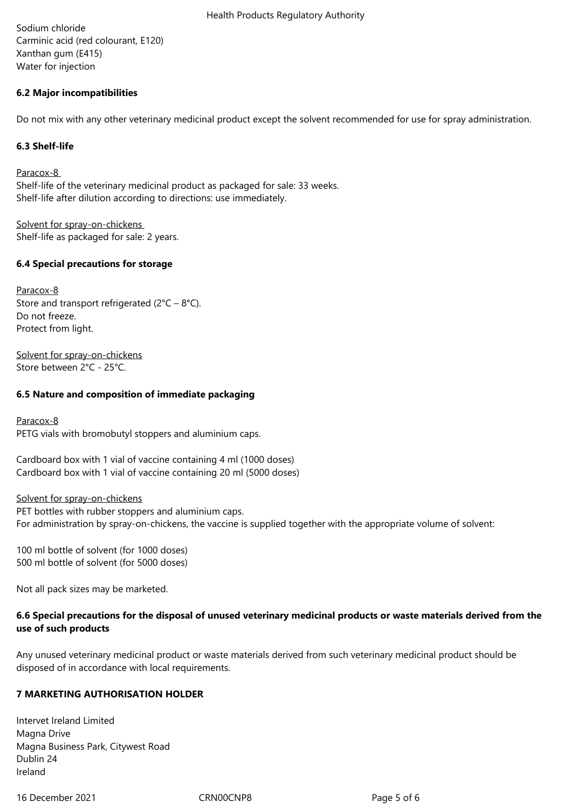Sodium chloride Carminic acid (red colourant, E120) Xanthan gum (E415) Water for injection

# **6.2 Major incompatibilities**

Do not mix with any other veterinary medicinal product except the solvent recommended for use for spray administration.

### **6.3 Shelf-life**

Paracox-8 Shelf-life of the veterinary medicinal product as packaged for sale: 33 weeks. Shelf-life after dilution according to directions: use immediately.

Solvent for spray-on-chickens Shelf-life as packaged for sale: 2 years.

## **6.4 Special precautions for storage**

Paracox-8 Store and transport refrigerated  $(2^{\circ}C - 8^{\circ}C)$ . Do not freeze. Protect from light.

Solvent for spray-on-chickens Store between 2°C - 25°C.

## **6.5 Nature and composition of immediate packaging**

Paracox-8 PETG vials with bromobutyl stoppers and aluminium caps.

Cardboard box with 1 vial of vaccine containing 4 ml (1000 doses) Cardboard box with 1 vial of vaccine containing 20 ml (5000 doses)

Solvent for spray-on-chickens

PET bottles with rubber stoppers and aluminium caps. For administration by spray-on-chickens, the vaccine is supplied together with the appropriate volume of solvent:

100 ml bottle of solvent (for 1000 doses) 500 ml bottle of solvent (for 5000 doses)

Not all pack sizes may be marketed.

# **6.6 Special precautions for the disposal of unused veterinary medicinal products or waste materials derived from the use of such products**

Any unused veterinary medicinal product or waste materials derived from such veterinary medicinal product should be disposed of in accordance with local requirements.

# **7 MARKETING AUTHORISATION HOLDER**

Intervet Ireland Limited Magna Drive Magna Business Park, Citywest Road Dublin 24 Ireland

16 December 2021 CRN00CNP8 Page 5 of 6